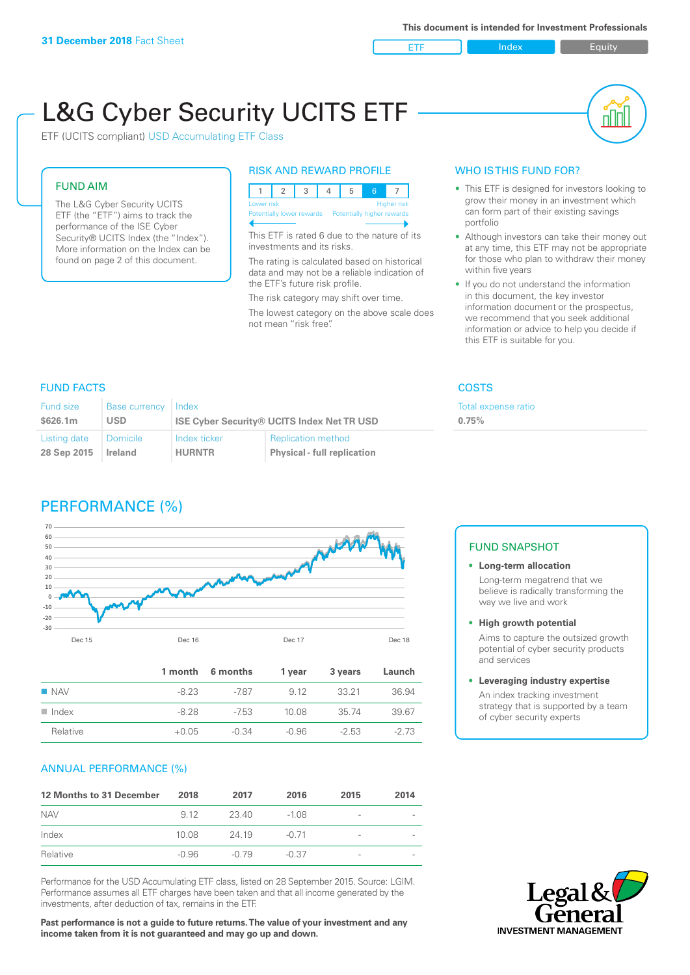ETF Index Buity

nl M

# L&G Cyber Security UCITS ETF

ETF (UCITS compliant) USD Accumulating ETF Class

## FUND AIM

The L&G Cyber Security UCITS ETF (the "ETF") aims to track the performance of the ISE Cyber Security® UCITS Index (the "Index"). More information on the Index can be found on page 2 of this document.

#### RISK AND REWARD PROFILE

|  | Lower risk<br><b>Higher risk</b> |  |  |  |                                                      |  |  |  |  |
|--|----------------------------------|--|--|--|------------------------------------------------------|--|--|--|--|
|  |                                  |  |  |  | Potentially lower rewards Potentially higher rewards |  |  |  |  |
|  |                                  |  |  |  |                                                      |  |  |  |  |

This ETF is rated 6 due to the nature of its investments and its risks.

The rating is calculated based on historical data and may not be a reliable indication of the ETF's future risk profile.

The risk category may shift over time. The lowest category on the above scale does not mean "risk free".

# WHO IS THIS FUND FOR?

- This ETF is designed for investors looking to grow their money in an investment which can form part of their existing savings portfolio
- Although investors can take their money out at any time, this ETF may not be appropriate for those who plan to withdraw their money within five years
- If you do not understand the information in this document, the key investor information document or the prospectus, we recommend that you seek additional information or advice to help you decide if this ETF is suitable for you.

Total expense ratio

**0.75%**

# FUND FACTS COSTS

| Fund size<br><b>Base currency</b><br>\$626.1m<br><b>USD</b> |                 | l Index<br><b>ISE Cyber Security® UCITS Index Net TR USD</b> |                                    |  |  |
|-------------------------------------------------------------|-----------------|--------------------------------------------------------------|------------------------------------|--|--|
| Listing date                                                | <b>Domicile</b> | Index ticker                                                 | <b>Replication method</b>          |  |  |
| 28 Sep 2015                                                 | Ireland         | <b>HURNTR</b>                                                | <b>Physical - full replication</b> |  |  |

# PERFORMANCE (%)



|                      |         | 1 month 6 months | 1 year | 3 years | Launch |
|----------------------|---------|------------------|--------|---------|--------|
| $\blacksquare$ NAV   | $-823$  | -787             | 9 1 2  | 33 21   | 36.94  |
| $\blacksquare$ Index | -8.28   | -753             | 10.08  | 35 74   | 39.67  |
| Relative             | $+0.05$ | -0.34            | -0.96  | $-2.53$ | $-273$ |

# ANNUAL PERFORMANCE (%)

| 12 Months to 31 December | 2018  | 2017    | 2016    | 2015                     | 2014 |
|--------------------------|-------|---------|---------|--------------------------|------|
| <b>NAV</b>               | 9 1 2 | 23.40   | $-1.08$ | $\overline{\phantom{a}}$ |      |
| Index                    | 10.08 | 24 19   | $-0.71$ | $\overline{\phantom{a}}$ |      |
| Relative                 | -0.96 | $-0.79$ | $-0.37$ | $\overline{\phantom{a}}$ |      |

Performance for the USD Accumulating ETF class, listed on 28 September 2015. Source: LGIM. Performance assumes all ETF charges have been taken and that all income generated by the investments, after deduction of tax, remains in the ETF.

**Past performance is not a guide to future returns. The value of your investment and any income taken from it is not guaranteed and may go up and down.**

#### FUND SNAPSHOT

- **• Long-term allocation** Long-term megatrend that we believe is radically transforming the way we live and work
- **• High growth potential**

Aims to capture the outsized growth potential of cyber security products and services

#### **• Leveraging industry expertise**

An index tracking investment strategy that is supported by a team of cyber security experts

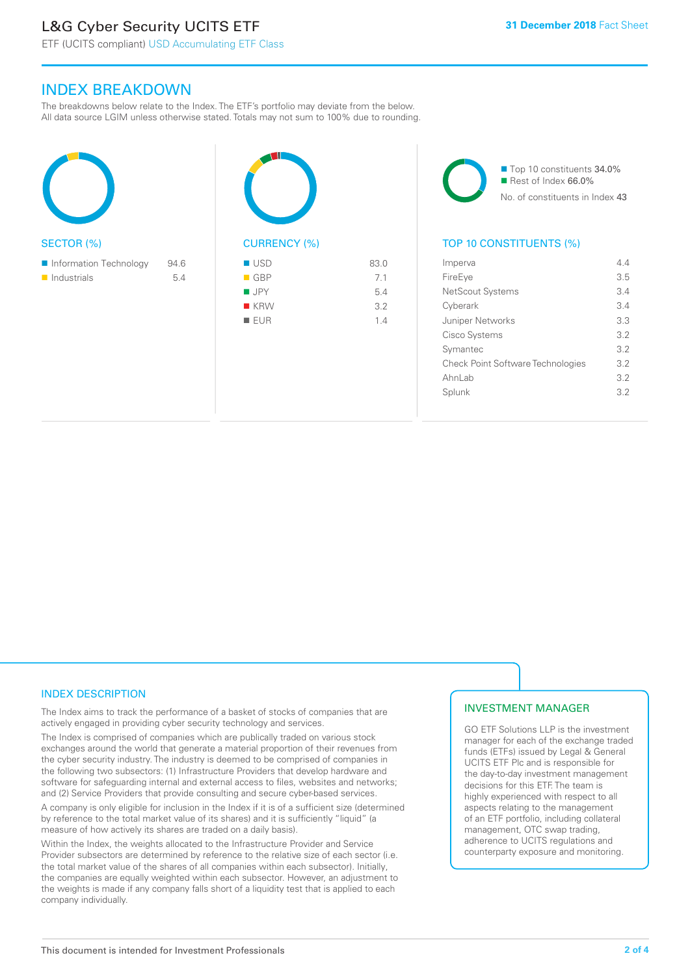# L&G Cyber Security UCITS ETF

# INDEX BREAKDOWN

The breakdowns below relate to the Index. The ETF's portfolio may deviate from the below. All data source LGIM unless otherwise stated. Totals may not sum to 100% due to rounding.





| <b>USD</b>         | 83.0 |
|--------------------|------|
| $\blacksquare$ GBP | 7.1  |
| $\blacksquare$ JPY | 5.4  |
| $R$ KRW            | 3.2  |
| <b>EUR</b>         | 14   |



# TOP 10 CONSTITUENTS (%)

| Imperva                           | 44  |
|-----------------------------------|-----|
| FireEye                           | 3.5 |
| NetScout Systems                  | 3.4 |
| Cyberark                          | 34  |
| <b>Juniper Networks</b>           | 3.3 |
| Cisco Systems                     | 32  |
| Symantec                          | 32  |
| Check Point Software Technologies | 3.2 |
| Ahnl ah                           | 3.2 |
| Splunk                            | 3.2 |
|                                   |     |

# INDEX DESCRIPTION

The Index aims to track the performance of a basket of stocks of companies that are actively engaged in providing cyber security technology and services.

The Index is comprised of companies which are publically traded on various stock exchanges around the world that generate a material proportion of their revenues from the cyber security industry. The industry is deemed to be comprised of companies in the following two subsectors: (1) Infrastructure Providers that develop hardware and software for safeguarding internal and external access to files, websites and networks; and (2) Service Providers that provide consulting and secure cyber-based services.

A company is only eligible for inclusion in the Index if it is of a sufficient size (determined by reference to the total market value of its shares) and it is sufficiently "liquid" (a measure of how actively its shares are traded on a daily basis).

Within the Index, the weights allocated to the Infrastructure Provider and Service Provider subsectors are determined by reference to the relative size of each sector (i.e. the total market value of the shares of all companies within each subsector). Initially, the companies are equally weighted within each subsector. However, an adjustment to the weights is made if any company falls short of a liquidity test that is applied to each company individually.

# INVESTMENT MANAGER

GO ETF Solutions LLP is the investment manager for each of the exchange traded funds (ETFs) issued by Legal & General UCITS ETF Plc and is responsible for the day-to-day investment management decisions for this ETF. The team is highly experienced with respect to all aspects relating to the management of an ETF portfolio, including collateral management, OTC swap trading, adherence to UCITS regulations and counterparty exposure and monitoring.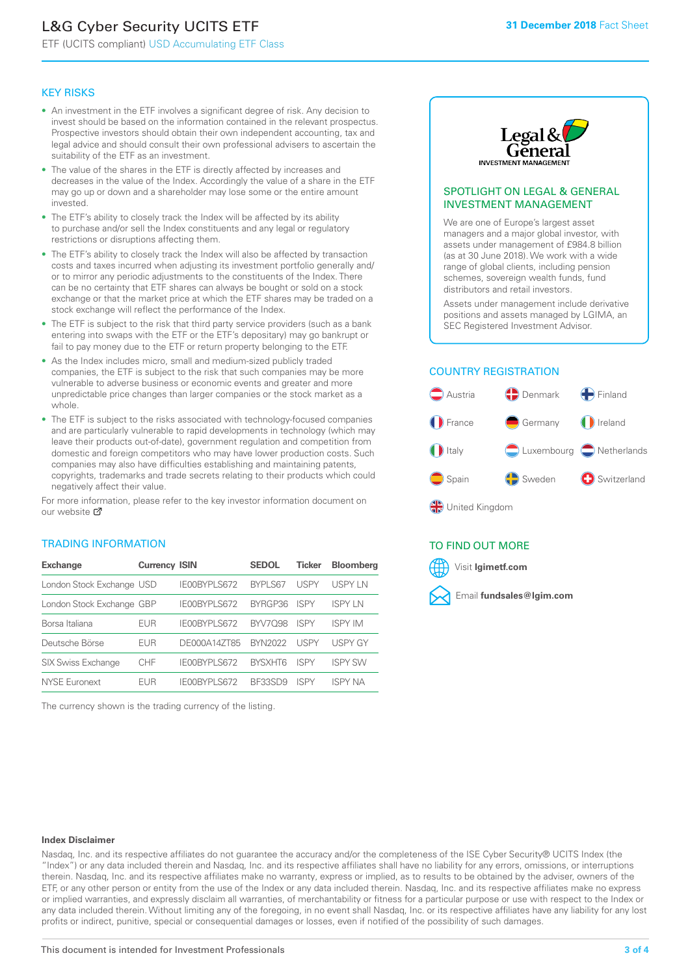# L&G Cyber Security UCITS ETF

ETF (UCITS compliant) USD Accumulating ETF Class

#### KEY RISKS

- An investment in the ETF involves a significant degree of risk. Any decision to invest should be based on the information contained in the relevant prospectus. Prospective investors should obtain their own independent accounting, tax and legal advice and should consult their own professional advisers to ascertain the suitability of the ETF as an investment.
- The value of the shares in the ETF is directly affected by increases and decreases in the value of the Index. Accordingly the value of a share in the ETF may go up or down and a shareholder may lose some or the entire amount invested.
- The ETF's ability to closely track the Index will be affected by its ability to purchase and/or sell the Index constituents and any legal or regulatory restrictions or disruptions affecting them.
- The ETF's ability to closely track the Index will also be affected by transaction costs and taxes incurred when adjusting its investment portfolio generally and/ or to mirror any periodic adjustments to the constituents of the Index. There can be no certainty that ETF shares can always be bought or sold on a stock exchange or that the market price at which the ETF shares may be traded on a stock exchange will reflect the performance of the Index.
- The ETF is subject to the risk that third party service providers (such as a bank entering into swaps with the ETF or the ETF's depositary) may go bankrupt or fail to pay money due to the ETF or return property belonging to the ETF.
- As the Index includes micro, small and medium-sized publicly traded companies, the ETF is subject to the risk that such companies may be more vulnerable to adverse business or economic events and greater and more unpredictable price changes than larger companies or the stock market as a whole.
- The ETF is subject to the risks associated with technology-focused companies and are particularly vulnerable to rapid developments in technology (which may leave their products out-of-date), government regulation and competition from domestic and foreign competitors who may have lower production costs. Such companies may also have difficulties establishing and maintaining patents, copyrights, trademarks and trade secrets relating to their products which could negatively affect their value.

For more in[form](https://www.lgimetf.com/)ation, please refer to the key investor information document on our website M

## TRADING INFORMATION

| <b>Exchange</b>           | <b>Currency ISIN</b> |                     | <b>SEDOL</b>   | <b>Ticker</b> | <b>Bloomberg</b> |
|---------------------------|----------------------|---------------------|----------------|---------------|------------------|
| London Stock Exchange USD |                      | IE00BYPLS672        | BYPLS67        | <b>USPY</b>   | USPY IN          |
| London Stock Exchange GBP |                      | IE00BYPLS672        | BYRGP36        | <b>ISPY</b>   | <b>ISPY IN</b>   |
| Borsa Italiana            | EUR                  | <b>IFOORYPLS672</b> | <b>BYV7098</b> | <b>ISPY</b>   | <b>ISPY IM</b>   |
| Deutsche Börse            | EUR                  | DE000A14ZT85        | <b>BYN2022</b> | <b>USPY</b>   | <b>USPY GY</b>   |
| <b>SIX Swiss Exchange</b> | <b>CHF</b>           | IE00BYPLS672        | <b>RYSXHT6</b> | <b>ISPY</b>   | <b>ISPY SW</b>   |
| NYSE Euronext             | FUR                  | IF00BYPLS672        | BE33SD9        | ISPY          | ISPY NA          |

The currency shown is the trading currency of the listing.



#### SPOTLIGHT ON LEGAL & GENERAL INVESTMENT MANAGEMENT

We are one of Europe's largest asset managers and a major global investor, with assets under management of £984.8 billion (as at 30 June 2018). We work with a wide range of global clients, including pension schemes, sovereign wealth funds, fund distributors and retail investors.

Assets under management include derivative positions and assets managed by LGIMA, an SEC Registered Investment Advisor.

## COUNTRY REGISTRATION



# TO FIND OUT MORE

Visit **lgimetf.com**



#### **Index Disclaimer**

Nasdaq, Inc. and its respective affiliates do not guarantee the accuracy and/or the completeness of the ISE Cyber Security® UCITS Index (the "Index") or any data included therein and Nasdaq, Inc. and its respective affiliates shall have no liability for any errors, omissions, or interruptions therein. Nasdaq, Inc. and its respective affiliates make no warranty, express or implied, as to results to be obtained by the adviser, owners of the ETF, or any other person or entity from the use of the Index or any data included therein. Nasdaq, Inc. and its respective affiliates make no express or implied warranties, and expressly disclaim all warranties, of merchantability or fitness for a particular purpose or use with respect to the Index or any data included therein. Without limiting any of the foregoing, in no event shall Nasdaq, Inc. or its respective affiliates have any liability for any lost profits or indirect, punitive, special or consequential damages or losses, even if notified of the possibility of such damages.